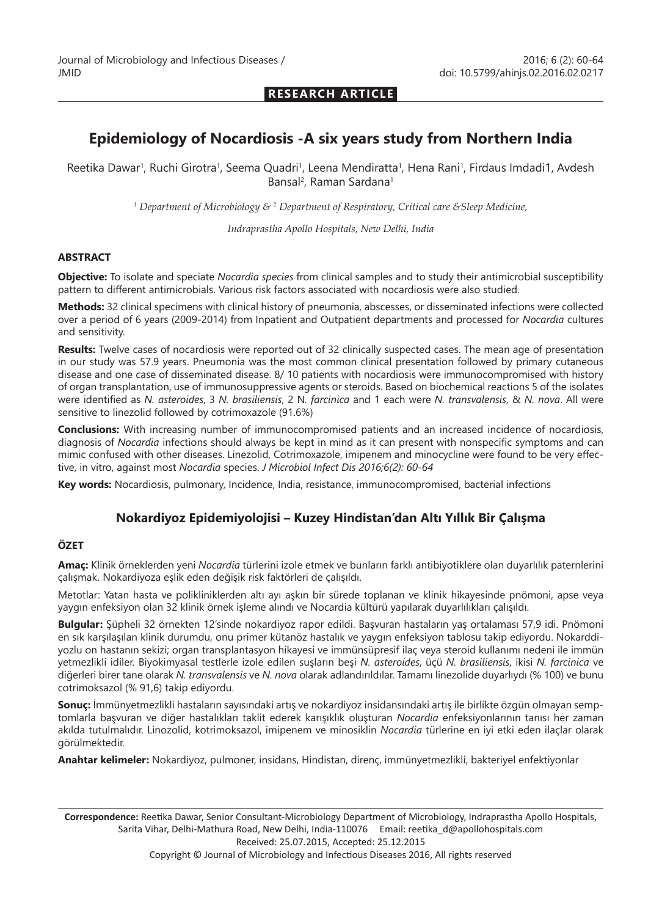**RESEARCH ARTICLE**

# **Epidemiology of Nocardiosis -A six years study from Northern India**

Reetika Dawar<sup>1</sup>, Ruchi Girotra<sup>1</sup>, Seema Quadri<sup>1</sup>, Leena Mendiratta<sup>1</sup>, Hena Rani<sup>1</sup>, Firdaus Imdadi1, Avdesh Bansal<sup>2</sup>, Raman Sardana<sup>1</sup>

*1 Department of Microbiology & 2 Department of Respiratory, Critical care &Sleep Medicine,*

*Indraprastha Apollo Hospitals, New Delhi, India*

#### **ABSTRACT**

**Objective:** To isolate and speciate *Nocardia species* from clinical samples and to study their antimicrobial susceptibility pattern to different antimicrobials. Various risk factors associated with nocardiosis were also studied.

**Methods:** 32 clinical specimens with clinical history of pneumonia, abscesses, or disseminated infections were collected over a period of 6 years (2009-2014) from Inpatient and Outpatient departments and processed for *Nocardia* cultures and sensitivity.

**Results:** Twelve cases of nocardiosis were reported out of 32 clinically suspected cases. The mean age of presentation in our study was 57.9 years. Pneumonia was the most common clinical presentation followed by primary cutaneous disease and one case of disseminated disease. 8/ 10 patients with nocardiosis were immunocompromised with history of organ transplantation, use of immunosuppressive agents or steroids. Based on biochemical reactions 5 of the isolates were identified as *N. asteroides*, 3 *N. brasiliensis*, 2 N*. farcinica* and 1 each were *N. transvalensis*, & *N. nova*. All were sensitive to linezolid followed by cotrimoxazole (91.6%)

**Conclusions:** With increasing number of immunocompromised patients and an increased incidence of nocardiosis, diagnosis of *Nocardia* infections should always be kept in mind as it can present with nonspecific symptoms and can mimic confused with other diseases. Linezolid, Cotrimoxazole, imipenem and minocycline were found to be very effective, in vitro, against most *Nocardia* species. *J Microbiol Infect Dis 2016;6(2): 60-64*

**Key words:** Nocardiosis, pulmonary, Incidence, India, resistance, immunocompromised, bacterial infections

## **Nokardiyoz Epidemiyolojisi – Kuzey Hindistan'dan Altı Yıllık Bir Çalışma**

#### **ÖZET**

**Amaç:** Klinik örneklerden yeni *Nocardia* türlerini izole etmek ve bunların farklı antibiyotiklere olan duyarlılık paternlerini çalışmak. Nokardiyoza eşlik eden değişik risk faktörleri de çalışıldı.

Metotlar: Yatan hasta ve polikliniklerden altı ayı aşkın bir sürede toplanan ve klinik hikayesinde pnömoni, apse veya yaygın enfeksiyon olan 32 klinik örnek işleme alındı ve Nocardia kültürü yapılarak duyarlılıkları çalışıldı.

**Bulgular:** Şüpheli 32 örnekten 12'sinde nokardiyoz rapor edildi. Başvuran hastaların yaş ortalaması 57,9 idi. Pnömoni en sık karşılaşılan klinik durumdu, onu primer kütanöz hastalık ve yaygın enfeksiyon tablosu takip ediyordu. Nokarddiyozlu on hastanın sekizi; organ transplantasyon hikayesi ve immünsüpresif ilaç veya steroid kullanımı nedeni ile immün yetmezlikli idiler. Biyokimyasal testlerle izole edilen suşların beşi *N. asteroides*, üçü *N. brasiliensis*, ikisi *N. farcinica* ve diğerleri birer tane olarak *N. transvalensis* ve *N. nova* olarak adlandırıldılar. Tamamı linezolide duyarlıydı (% 100) ve bunu cotrimoksazol (% 91,6) takip ediyordu.

**Sonuç:** İmmünyetmezlikli hastaların sayısındaki artış ve nokardiyoz insidansındaki artış ile birlikte özgün olmayan semptomlarla başvuran ve diğer hastalıkları taklit ederek karışıklık oluşturan *Nocardia* enfeksiyonlarının tanısı her zaman akılda tutulmalıdır. Linozolid, kotrimoksazol, imipenem ve minosiklin *Nocardia* türlerine en iyi etki eden ilaçlar olarak görülmektedir.

**Anahtar kelimeler:** Nokardiyoz, pulmoner, insidans, Hindistan, direnç, immünyetmezlikli, bakteriyel enfektiyonlar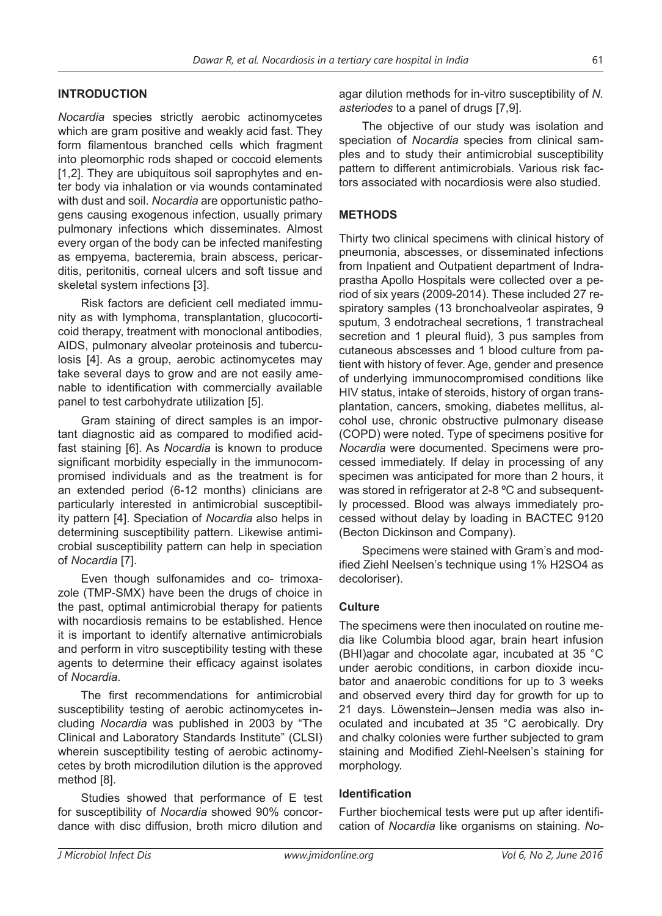### **INTRODUCTION**

*Nocardia* species strictly aerobic actinomycetes which are gram positive and weakly acid fast. They form filamentous branched cells which fragment into pleomorphic rods shaped or coccoid elements [1,2]. They are ubiquitous soil saprophytes and enter body via inhalation or via wounds contaminated with dust and soil. *Nocardia* are opportunistic pathogens causing exogenous infection, usually primary pulmonary infections which disseminates. Almost every organ of the body can be infected manifesting as empyema, bacteremia, brain abscess, pericarditis, peritonitis, corneal ulcers and soft tissue and skeletal system infections [3].

Risk factors are deficient cell mediated immunity as with lymphoma, transplantation, glucocorticoid therapy, treatment with monoclonal antibodies, AIDS, pulmonary alveolar proteinosis and tuberculosis [4]. As a group, aerobic actinomycetes may take several days to grow and are not easily amenable to identification with commercially available panel to test carbohydrate utilization [5].

Gram staining of direct samples is an important diagnostic aid as compared to modified acidfast staining [6]. As *Nocardia* is known to produce significant morbidity especially in the immunocompromised individuals and as the treatment is for an extended period (6-12 months) clinicians are particularly interested in antimicrobial susceptibility pattern [4]. Speciation of *Nocardia* also helps in determining susceptibility pattern. Likewise antimicrobial susceptibility pattern can help in speciation of *Nocardia* [7].

Even though sulfonamides and co- trimoxazole (TMP-SMX) have been the drugs of choice in the past, optimal antimicrobial therapy for patients with nocardiosis remains to be established. Hence it is important to identify alternative antimicrobials and perform in vitro susceptibility testing with these agents to determine their efficacy against isolates of *Nocardia*.

The first recommendations for antimicrobial susceptibility testing of aerobic actinomycetes including *Nocardia* was published in 2003 by "The Clinical and Laboratory Standards Institute" (CLSI) wherein susceptibility testing of aerobic actinomycetes by broth microdilution dilution is the approved method [8].

Studies showed that performance of E test for susceptibility of *Nocardia* showed 90% concordance with disc diffusion, broth micro dilution and

agar dilution methods for in-vitro susceptibility of *N. asteriodes* to a panel of drugs [7,9].

The objective of our study was isolation and speciation of *Nocardia* species from clinical samples and to study their antimicrobial susceptibility pattern to different antimicrobials. Various risk factors associated with nocardiosis were also studied.

#### **METHODS**

Thirty two clinical specimens with clinical history of pneumonia, abscesses, or disseminated infections from Inpatient and Outpatient department of Indraprastha Apollo Hospitals were collected over a period of six years (2009-2014). These included 27 respiratory samples (13 bronchoalveolar aspirates, 9 sputum, 3 endotracheal secretions, 1 transtracheal secretion and 1 pleural fluid), 3 pus samples from cutaneous abscesses and 1 blood culture from patient with history of fever. Age, gender and presence of underlying immunocompromised conditions like HIV status, intake of steroids, history of organ transplantation, cancers, smoking, diabetes mellitus, alcohol use, chronic obstructive pulmonary disease (COPD) were noted. Type of specimens positive for *Nocardia* were documented. Specimens were processed immediately. If delay in processing of any specimen was anticipated for more than 2 hours, it was stored in refrigerator at 2-8 °C and subsequently processed. Blood was always immediately processed without delay by loading in BACTEC 9120 (Becton Dickinson and Company).

Specimens were stained with Gram's and modified Ziehl Neelsen's technique using 1% H2SO4 as decoloriser).

## **Culture**

The specimens were then inoculated on routine media like Columbia blood agar, brain heart infusion (BHI)agar and chocolate agar, incubated at 35 °C under aerobic conditions, in carbon dioxide incubator and anaerobic conditions for up to 3 weeks and observed every third day for growth for up to 21 days. Löwenstein–Jensen media was also inoculated and incubated at 35 °C aerobically. Dry and chalky colonies were further subjected to gram staining and Modified Ziehl-Neelsen's staining for morphology.

#### **Identification**

Further biochemical tests were put up after identification of *Nocardia* like organisms on staining. *No-*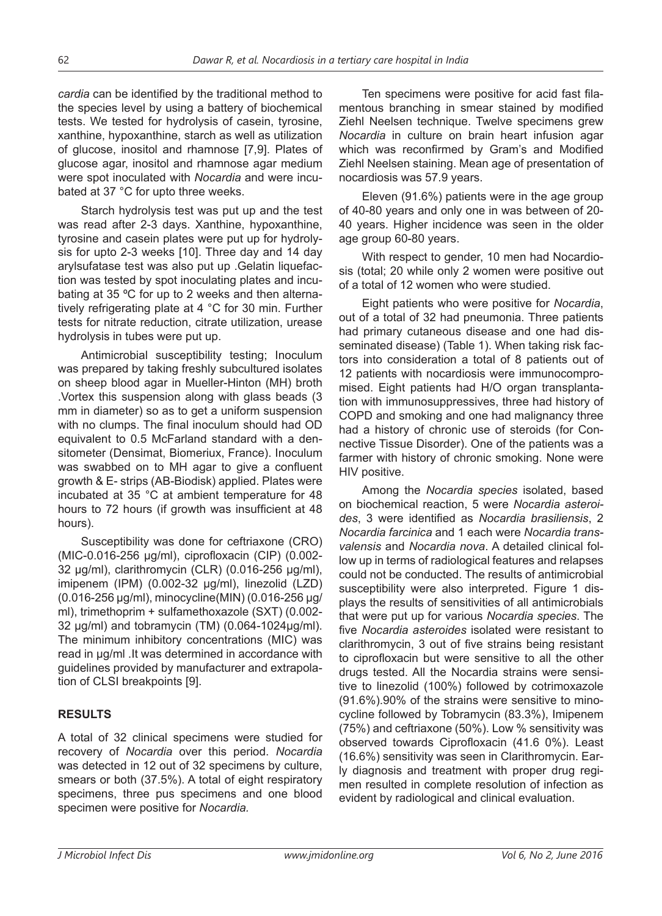*cardia* can be identified by the traditional method to the species level by using a battery of biochemical tests. We tested for hydrolysis of casein, tyrosine, xanthine, hypoxanthine, starch as well as utilization of glucose, inositol and rhamnose [7,9]. Plates of glucose agar, inositol and rhamnose agar medium were spot inoculated with *Nocardia* and were incubated at 37 °C for upto three weeks.

Starch hydrolysis test was put up and the test was read after 2-3 days. Xanthine, hypoxanthine, tyrosine and casein plates were put up for hydrolysis for upto 2-3 weeks [10]. Three day and 14 day arylsufatase test was also put up .Gelatin liquefaction was tested by spot inoculating plates and incubating at 35 ºC for up to 2 weeks and then alternatively refrigerating plate at 4 °C for 30 min. Further tests for nitrate reduction, citrate utilization, urease hydrolysis in tubes were put up.

Antimicrobial susceptibility testing; Inoculum was prepared by taking freshly subcultured isolates on sheep blood agar in Mueller-Hinton (MH) broth .Vortex this suspension along with glass beads (3 mm in diameter) so as to get a uniform suspension with no clumps. The final inoculum should had OD equivalent to 0.5 McFarland standard with a densitometer (Densimat, Biomeriux, France). Inoculum was swabbed on to MH agar to give a confluent growth & E- strips (AB-Biodisk) applied. Plates were incubated at 35 °C at ambient temperature for 48 hours to 72 hours (if growth was insufficient at 48 hours).

Susceptibility was done for ceftriaxone (CRO) (MIC-0.016-256 μg/ml), ciprofloxacin (CIP) (0.002- 32 μg/ml), clarithromycin (CLR) (0.016-256 μg/ml), imipenem (IPM) (0.002-32 μg/ml), linezolid (LZD) (0.016-256 μg/ml), minocycline(MIN) (0.016-256 μg/ ml), trimethoprim + sulfamethoxazole (SXT) (0.002- 32 μg/ml) and tobramycin (TM) (0.064-1024μg/ml). The minimum inhibitory concentrations (MIC) was read in μg/ml .It was determined in accordance with guidelines provided by manufacturer and extrapolation of CLSI breakpoints [9].

# **RESULTS**

A total of 32 clinical specimens were studied for recovery of *Nocardia* over this period. *Nocardia* was detected in 12 out of 32 specimens by culture, smears or both (37.5%). A total of eight respiratory specimens, three pus specimens and one blood specimen were positive for *Nocardia.*

Ten specimens were positive for acid fast filamentous branching in smear stained by modified Ziehl Neelsen technique. Twelve specimens grew *Nocardia* in culture on brain heart infusion agar which was reconfirmed by Gram's and Modified Ziehl Neelsen staining. Mean age of presentation of nocardiosis was 57.9 years.

Eleven (91.6%) patients were in the age group of 40-80 years and only one in was between of 20- 40 years. Higher incidence was seen in the older age group 60-80 years.

With respect to gender, 10 men had Nocardiosis (total; 20 while only 2 women were positive out of a total of 12 women who were studied.

Eight patients who were positive for *Nocardia*, out of a total of 32 had pneumonia. Three patients had primary cutaneous disease and one had disseminated disease) (Table 1). When taking risk factors into consideration a total of 8 patients out of 12 patients with nocardiosis were immunocompromised. Eight patients had H/O organ transplantation with immunosuppressives, three had history of COPD and smoking and one had malignancy three had a history of chronic use of steroids (for Connective Tissue Disorder). One of the patients was a farmer with history of chronic smoking. None were HIV positive.

Among the *Nocardia species* isolated, based on biochemical reaction, 5 were *Nocardia asteroides*, 3 were identified as *Nocardia brasiliensis*, 2 *Nocardia farcinica* and 1 each were *Nocardia transvalensis* and *Nocardia nova*. A detailed clinical follow up in terms of radiological features and relapses could not be conducted. The results of antimicrobial susceptibility were also interpreted. Figure 1 displays the results of sensitivities of all antimicrobials that were put up for various *Nocardia species*. The five *Nocardia asteroides* isolated were resistant to clarithromycin, 3 out of five strains being resistant to ciprofloxacin but were sensitive to all the other drugs tested. All the Nocardia strains were sensitive to linezolid (100%) followed by cotrimoxazole (91.6%).90% of the strains were sensitive to minocycline followed by Tobramycin (83.3%), Imipenem (75%) and ceftriaxone (50%). Low % sensitivity was observed towards Ciprofloxacin (41.6 0%). Least (16.6%) sensitivity was seen in Clarithromycin. Early diagnosis and treatment with proper drug regimen resulted in complete resolution of infection as evident by radiological and clinical evaluation.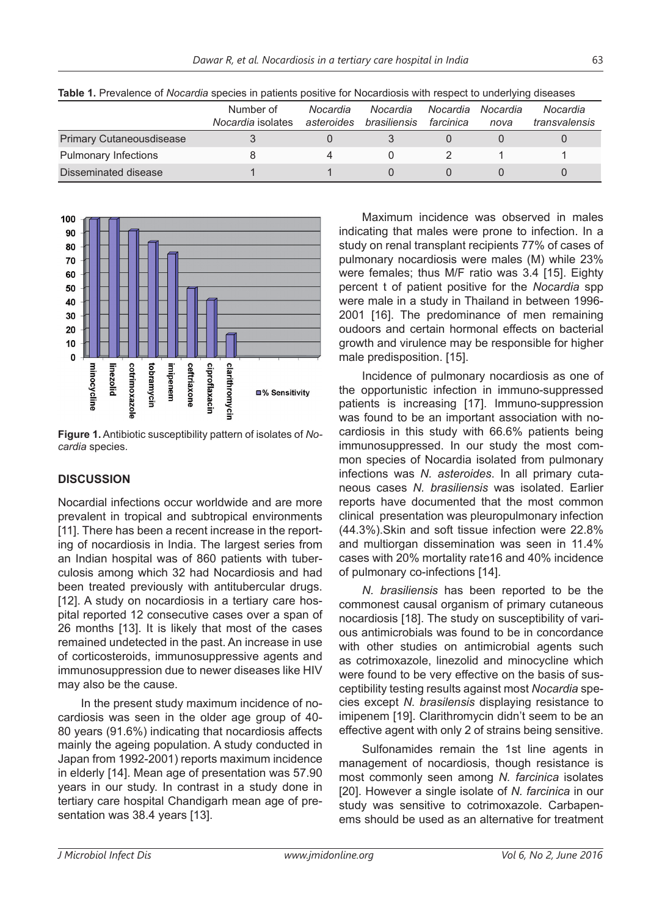|                                 | Number of<br>Nocardia isolates | Nocardia<br>asteroides | Nocardia<br>brasiliensis | Nocardia<br>farcinica | Nocardia<br>nova | Nocardia<br>transvalensis |
|---------------------------------|--------------------------------|------------------------|--------------------------|-----------------------|------------------|---------------------------|
| <b>Primary Cutaneousdisease</b> |                                |                        |                          |                       |                  |                           |
| Pulmonary Infections            |                                |                        |                          |                       |                  |                           |
| Disseminated disease            |                                |                        |                          |                       |                  |                           |

**Table 1.** Prevalence of *Nocardia* species in patients positive for Nocardiosis with respect to underlying diseases



**Figure 1.** Antibiotic susceptibility pattern of isolates of *Nocardia* species.

# **DISCUSSION**

Nocardial infections occur worldwide and are more prevalent in tropical and subtropical environments [11]. There has been a recent increase in the reporting of nocardiosis in India. The largest series from an Indian hospital was of 860 patients with tuberculosis among which 32 had Nocardiosis and had been treated previously with antitubercular drugs. [12]. A study on nocardiosis in a tertiary care hospital reported 12 consecutive cases over a span of 26 months [13]. It is likely that most of the cases remained undetected in the past. An increase in use of corticosteroids, immunosuppressive agents and immunosuppression due to newer diseases like HIV may also be the cause.

In the present study maximum incidence of nocardiosis was seen in the older age group of 40- 80 years (91.6%) indicating that nocardiosis affects mainly the ageing population. A study conducted in Japan from 1992-2001) reports maximum incidence in elderly [14]. Mean age of presentation was 57.90 years in our study. In contrast in a study done in tertiary care hospital Chandigarh mean age of presentation was 38.4 years [13].

Maximum incidence was observed in males indicating that males were prone to infection. In a study on renal transplant recipients 77% of cases of pulmonary nocardiosis were males (M) while 23% were females; thus M/F ratio was 3.4 [15]. Eighty percent t of patient positive for the *Nocardia* spp were male in a study in Thailand in between 1996- 2001 [16]. The predominance of men remaining oudoors and certain hormonal effects on bacterial growth and virulence may be responsible for higher male predisposition. [15].

Incidence of pulmonary nocardiosis as one of the opportunistic infection in immuno-suppressed patients is increasing [17]. Immuno-suppression was found to be an important association with nocardiosis in this study with 66.6% patients being immunosuppressed. In our study the most common species of Nocardia isolated from pulmonary infections was *N. asteroides*. In all primary cutaneous cases *N. brasiliensis* was isolated. Earlier reports have documented that the most common clinical presentation was pleuropulmonary infection (44.3%).Skin and soft tissue infection were 22.8% and multiorgan dissemination was seen in 11.4% cases with 20% mortality rate16 and 40% incidence of pulmonary co-infections [14].

*N. brasiliensis* has been reported to be the commonest causal organism of primary cutaneous nocardiosis [18]. The study on susceptibility of various antimicrobials was found to be in concordance with other studies on antimicrobial agents such as cotrimoxazole, linezolid and minocycline which were found to be very effective on the basis of susceptibility testing results against most *Nocardia* species except *N. brasilensis* displaying resistance to imipenem [19]. Clarithromycin didn't seem to be an effective agent with only 2 of strains being sensitive.

Sulfonamides remain the 1st line agents in management of nocardiosis, though resistance is most commonly seen among *N. farcinica* isolates [20]. However a single isolate of *N. farcinica* in our study was sensitive to cotrimoxazole. Carbapenems should be used as an alternative for treatment